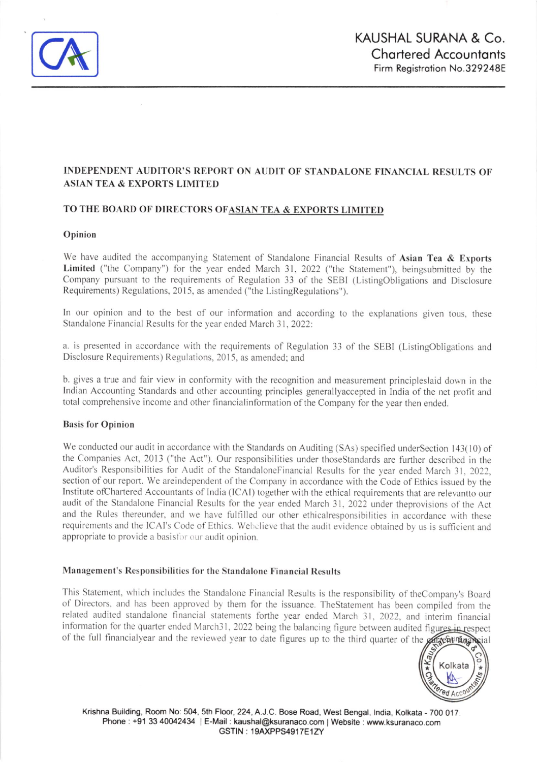

# INDEPENDENT AUDITOR'S REPORT ON AUDIT OF STANDALONE FINANCIAL RESULTS OF **ASIAN TEA & EXPORTS LIMITED**

## TO THE BOARD OF DIRECTORS OF ASIAN TEA & EXPORTS LIMITED

#### Opinion

We have audited the accompanying Statement of Standalone Financial Results of Asian Tea & Exports Limited ("the Company") for the year ended March 31, 2022 ("the Statement"), beingsubmitted by the Company pursuant to the requirements of Regulation 33 of the SEBI (ListingObligations and Disclosure Requirements) Regulations, 2015, as amended ("the ListingRegulations").

In our opinion and to the best of our information and according to the explanations given tous, these Standalone Financial Results for the year ended March 31, 2022:

a. is presented in accordance with the requirements of Regulation 33 of the SEBI (ListingObligations and Disclosure Requirements) Regulations, 2015, as amended; and

b. gives a true and fair view in conformity with the recognition and measurement principleslaid down in the Indian Accounting Standards and other accounting principles generally accepted in India of the net profit and total comprehensive income and other financial information of the Company for the year then ended.

#### **Basis for Opinion**

We conducted our audit in accordance with the Standards on Auditing (SAs) specified underSection 143(10) of the Companies Act, 2013 ("the Act"). Our responsibilities under thoseStandards are further described in the Auditor's Responsibilities for Audit of the StandaloneFinancial Results for the year ended March 31, 2022, section of our report. We areindependent of the Company in accordance with the Code of Ethics issued by the Institute of Chartered Accountants of India (ICAI) together with the ethical requirements that are relevant to our audit of the Standalone Financial Results for the year ended March 31, 2022 under theprovisions of the Act and the Rules thereunder, and we have fulfilled our other ethicalresponsibilities in accordance with these requirements and the ICAI's Code of Ethics. Webelieve that the audit evidence obtained by us is sufficient and appropriate to provide a basisfor our audit opinion.

## Management's Responsibilities for the Standalone Financial Results

This Statement, which includes the Standalone Financial Results is the responsibility of theCompany's Board of Directors, and has been approved by them for the issuance. The Statement has been compiled from the related audited standalone financial statements forthe year ended March 31, 2022, and interim financial information for the quarter ended March31, 2022 being the balancing figure between audited figures in respect of the full financialyear and the reviewed year to date figures up to the third quarter of the principal



Krishna Building, Room No: 504, 5th Floor, 224, A.J.C. Bose Road, West Bengal, India, Kolkata - 700 017. Phone: +91 33 40042434 | E-Mail: kaushal@ksuranaco.com | Website: www.ksuranaco.com GSTIN: 19AXPPS4917E1ZY